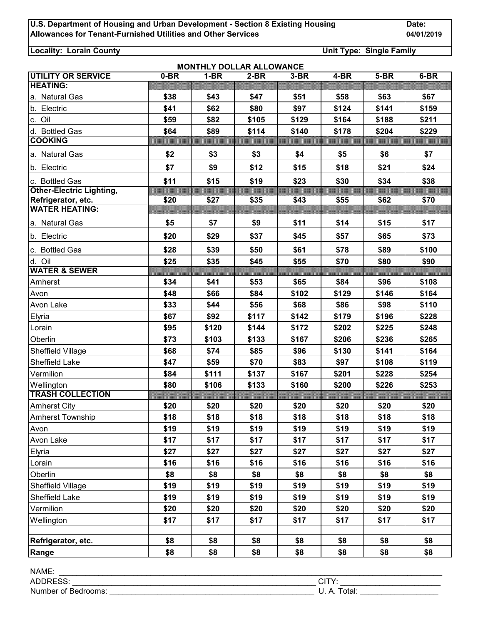**Locality: Lorain County Unit Type: Single Family**

| <b>MONTHLY DOLLAR ALLOWANCE</b>             |        |        |        |        |        |        |        |  |  |
|---------------------------------------------|--------|--------|--------|--------|--------|--------|--------|--|--|
| UTILITY OR SERVICE                          | $0-BR$ | $1-BR$ | $2-BR$ | $3-BR$ | $4-BR$ | $5-BR$ | $6-BR$ |  |  |
| <b>HEATING:</b>                             |        |        |        |        |        |        |        |  |  |
| a. Natural Gas                              | \$38   | \$43   | \$47   | \$51   | \$58   | \$63   | \$67   |  |  |
| b. Electric                                 | \$41   | \$62   | \$80   | \$97   | \$124  | \$141  | \$159  |  |  |
| c. Oil                                      | \$59   | \$82   | \$105  | \$129  | \$164  | \$188  | \$211  |  |  |
| d. Bottled Gas                              | \$64   | \$89   | \$114  | \$140  | \$178  | \$204  | \$229  |  |  |
| <b>COOKING</b>                              |        |        |        |        |        |        |        |  |  |
| a. Natural Gas                              | \$2    | \$3    | \$3    | \$4    | \$5    | \$6    | \$7    |  |  |
| b. Electric                                 | \$7    | \$9    | \$12   | \$15   | \$18   | \$21   | \$24   |  |  |
| c. Bottled Gas                              | \$11   | \$15   | \$19   | \$23   | \$30   | \$34   | \$38   |  |  |
| <b>Other-Electric Lighting,</b>             |        |        |        |        |        |        |        |  |  |
| Refrigerator, etc.<br><b>WATER HEATING:</b> | \$20   | \$27   | \$35   | \$43   | \$55   | \$62   | \$70   |  |  |
|                                             |        |        |        |        |        |        |        |  |  |
| a. Natural Gas                              | \$5    | \$7    | \$9    | \$11   | \$14   | \$15   | \$17   |  |  |
| b. Electric                                 | \$20   | \$29   | \$37   | \$45   | \$57   | \$65   | \$73   |  |  |
| c. Bottled Gas                              | \$28   | \$39   | \$50   | \$61   | \$78   | \$89   | \$100  |  |  |
| d. Oil                                      | \$25   | \$35   | \$45   | \$55   | \$70   | \$80   | \$90   |  |  |
| <b>WATER &amp; SEWER</b>                    |        |        |        |        |        |        |        |  |  |
| Amherst                                     | \$34   | \$41   | \$53   | \$65   | \$84   | \$96   | \$108  |  |  |
| Avon                                        | \$48   | \$66   | \$84   | \$102  | \$129  | \$146  | \$164  |  |  |
| Avon Lake                                   | \$33   | \$44   | \$56   | \$68   | \$86   | \$98   | \$110  |  |  |
| Elyria                                      | \$67   | \$92   | \$117  | \$142  | \$179  | \$196  | \$228  |  |  |
| Lorain                                      | \$95   | \$120  | \$144  | \$172  | \$202  | \$225  | \$248  |  |  |
| Oberlin                                     | \$73   | \$103  | \$133  | \$167  | \$206  | \$236  | \$265  |  |  |
| Sheffield Village                           | \$68   | \$74   | \$85   | \$96   | \$130  | \$141  | \$164  |  |  |
| Sheffield Lake                              | \$47   | \$59   | \$70   | \$83   | \$97   | \$108  | \$119  |  |  |
| Vermilion                                   | \$84   | \$111  | \$137  | \$167  | \$201  | \$228  | \$254  |  |  |
| Wellington                                  | \$80   | \$106  | \$133  | \$160  | \$200  | \$226  | \$253  |  |  |
| <b>TRASH COLLECTION</b>                     |        |        |        |        |        |        |        |  |  |
| <b>Amherst City</b>                         | \$20   | \$20   | \$20   | \$20   | \$20   | \$20   | \$20   |  |  |
| Amherst Township                            | \$18   | \$18   | \$18   | \$18   | \$18   | \$18   | \$18   |  |  |
| Avon                                        | \$19   | \$19   | \$19   | \$19   | \$19   | \$19   | \$19   |  |  |
| Avon Lake                                   | \$17   | \$17   | \$17   | \$17   | \$17   | \$17   | \$17   |  |  |
| Elyria                                      | \$27   | \$27   | \$27   | \$27   | \$27   | \$27   | \$27   |  |  |
| Lorain                                      | \$16   | \$16   | \$16   | \$16   | \$16   | \$16   | \$16   |  |  |
| Oberlin                                     | \$8    | \$8    | \$8    | \$8    | \$8    | \$8    | \$8    |  |  |
| Sheffield Village                           | \$19   | \$19   | \$19   | \$19   | \$19   | \$19   | \$19   |  |  |
| Sheffield Lake                              | \$19   | \$19   | \$19   | \$19   | \$19   | \$19   | \$19   |  |  |
| Vermilion                                   | \$20   | \$20   | \$20   | \$20   | \$20   | \$20   | \$20   |  |  |
| Wellington                                  | \$17   | \$17   | \$17   | \$17   | \$17   | \$17   | \$17   |  |  |
|                                             |        |        |        |        |        |        |        |  |  |
| Refrigerator, etc.                          | \$8    | \$8    | \$8    | \$8    | \$8    | \$8    | \$8    |  |  |
| Range                                       | \$8    | \$8    | \$8    | \$8    | \$8    | \$8    | \$8    |  |  |

| NAME:                       |                    |
|-----------------------------|--------------------|
| <b>AD</b> <sup>r</sup>      | $\mathcal{L}$<br>◡ |
| Number<br>: Bedrooms:<br>0t | otal:<br>◡. ⌒.     |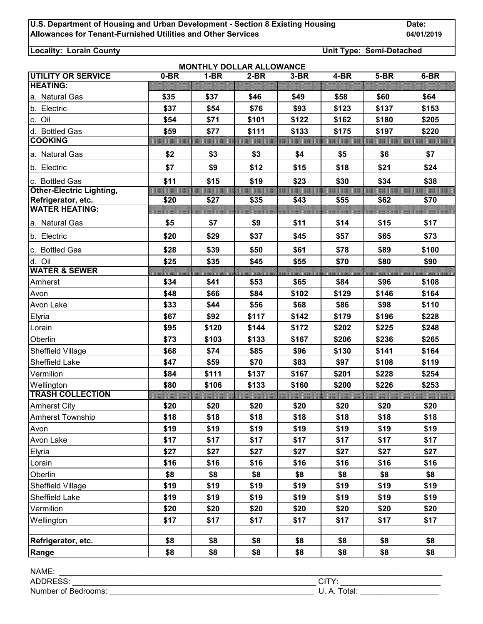**Locality: Lorain County Unit Type: Semi-Detached**

| UTILITY OR SERVICE              | 0-BR | <b>MONTHLY DOLLAR ALLOWANCE</b><br>$1-BR$ | $2-BR$ | $3-BR$ | 4-BR  | $5-BR$ | $6-BR$ |
|---------------------------------|------|-------------------------------------------|--------|--------|-------|--------|--------|
| <b>HEATING:</b>                 |      |                                           |        |        |       |        |        |
| a. Natural Gas                  | \$35 | \$37                                      | \$46   | \$49   | \$58  | \$60   | \$64   |
| b. Electric                     | \$37 | \$54                                      | \$76   | \$93   | \$123 | \$137  | \$153  |
| c. Oil                          | \$54 | \$71                                      | \$101  | \$122  | \$162 | \$180  | \$205  |
| d. Bottled Gas                  | \$59 | \$77                                      | \$111  | \$133  | \$175 | \$197  | \$220  |
| <b>COOKING</b>                  |      |                                           |        |        |       |        |        |
| a. Natural Gas                  | \$2  | \$3                                       | \$3    | \$4    | \$5   | \$6    | \$7    |
| b. Electric                     | \$7  | \$9                                       | \$12   | \$15   | \$18  | \$21   | \$24   |
| c. Bottled Gas                  | \$11 | \$15                                      | \$19   | \$23   | \$30  | \$34   | \$38   |
| <b>Other-Electric Lighting,</b> |      |                                           |        |        |       |        |        |
| Refrigerator, etc.              | \$20 | \$27                                      | \$35   | \$43   | \$55  | \$62   | \$70   |
| <b>WATER HEATING:</b>           |      |                                           |        |        |       |        |        |
| a. Natural Gas                  | \$5  | \$7                                       | \$9    | \$11   | \$14  | \$15   | \$17   |
| b. Electric                     | \$20 | \$29                                      | \$37   | \$45   | \$57  | \$65   | \$73   |
| c. Bottled Gas                  | \$28 | \$39                                      | \$50   | \$61   | \$78  | \$89   | \$100  |
| d. Oil                          | \$25 | \$35                                      | \$45   | \$55   | \$70  | \$80   | \$90   |
| <b>WATER &amp; SEWER</b>        |      |                                           |        |        |       |        |        |
| Amherst                         | \$34 | \$41                                      | \$53   | \$65   | \$84  | \$96   | \$108  |
| Avon                            | \$48 | \$66                                      | \$84   | \$102  | \$129 | \$146  | \$164  |
| Avon Lake                       | \$33 | \$44                                      | \$56   | \$68   | \$86  | \$98   | \$110  |
| Elyria                          | \$67 | \$92                                      | \$117  | \$142  | \$179 | \$196  | \$228  |
| Lorain                          | \$95 | \$120                                     | \$144  | \$172  | \$202 | \$225  | \$248  |
| Oberlin                         | \$73 | \$103                                     | \$133  | \$167  | \$206 | \$236  | \$265  |
| Sheffield Village               | \$68 | \$74                                      | \$85   | \$96   | \$130 | \$141  | \$164  |
| Sheffield Lake                  | \$47 | \$59                                      | \$70   | \$83   | \$97  | \$108  | \$119  |
| Vermilion                       | \$84 | \$111                                     | \$137  | \$167  | \$201 | \$228  | \$254  |
| Wellington                      | \$80 | \$106                                     | \$133  | \$160  | \$200 | \$226  | \$253  |
| <b>TRASH COLLECTION</b>         |      |                                           |        |        |       |        |        |
| <b>Amherst City</b>             | \$20 | \$20                                      | \$20   | \$20   | \$20  | \$20   | \$20   |
| <b>Amherst Township</b>         | \$18 | \$18                                      | \$18   | \$18   | \$18  | \$18   | \$18   |
| Avon                            | \$19 | \$19                                      | \$19   | \$19   | \$19  | \$19   | \$19   |
| Avon Lake                       | \$17 | \$17                                      | \$17   | \$17   | \$17  | \$17   | \$17   |
| Elyria                          | \$27 | \$27                                      | \$27   | \$27   | \$27  | \$27   | \$27   |
| Lorain                          | \$16 | \$16                                      | \$16   | \$16   | \$16  | \$16   | \$16   |
| Oberlin                         | \$8  | \$8                                       | \$8    | \$8    | \$8   | \$8    | \$8    |
| Sheffield Village               | \$19 | \$19                                      | \$19   | \$19   | \$19  | \$19   | \$19   |
| Sheffield Lake                  | \$19 | \$19                                      | \$19   | \$19   | \$19  | \$19   | \$19   |
| Vermilion                       | \$20 | \$20                                      | \$20   | \$20   | \$20  | \$20   | \$20   |
| Wellington                      | \$17 | \$17                                      | \$17   | \$17   | \$17  | \$17   | \$17   |
|                                 |      |                                           |        |        |       |        |        |
| Refrigerator, etc.              | \$8  | \$8                                       | \$8    | \$8    | \$8   | \$8    | \$8    |
| Range                           | \$8  | \$8                                       | \$8    | \$8    | \$8   | \$8    | \$8    |

| NAME.               |                     |
|---------------------|---------------------|
| AL.<br>$\sim$       | ᠇៶.<br>◡╷╷          |
| Number of Bedrooms: | otal:<br>n<br>◡. ⌒. |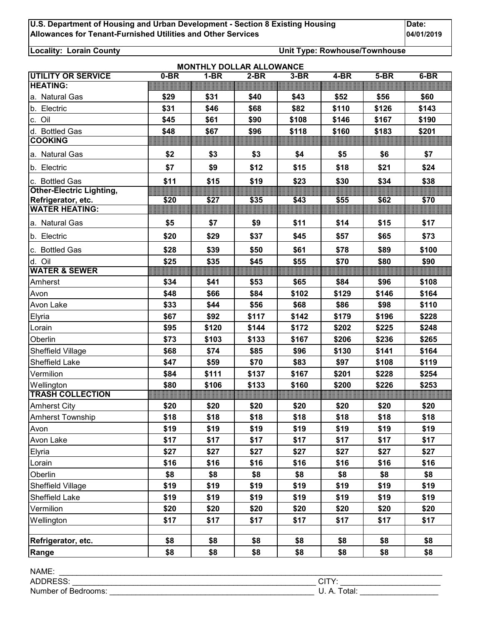**Locality: Lorain County Unit Type: Rowhouse/Townhouse**

| <b>MONTHLY DOLLAR ALLOWANCE</b> |
|---------------------------------|
|---------------------------------|

| <b>UTILITY OR SERVICE</b>       | 0-BR | $1-BR$ | $2-BR$ | $3-BR$ | $4-BR$ | $5-BR$ | $6-BR$ |
|---------------------------------|------|--------|--------|--------|--------|--------|--------|
| <b>HEATING:</b>                 |      |        |        |        |        |        |        |
| a. Natural Gas                  | \$29 | \$31   | \$40   | \$43   | \$52   | \$56   | \$60   |
| b. Electric                     | \$31 | \$46   | \$68   | \$82   | \$110  | \$126  | \$143  |
| c. Oil                          | \$45 | \$61   | \$90   | \$108  | \$146  | \$167  | \$190  |
| d. Bottled Gas                  | \$48 | \$67   | \$96   | \$118  | \$160  | \$183  | \$201  |
| <b>COOKING</b>                  |      |        |        |        |        |        |        |
| a. Natural Gas                  | \$2  | \$3    | \$3    | \$4    | \$5    | \$6    | \$7    |
| b. Electric                     | \$7  | \$9    | \$12   | \$15   | \$18   | \$21   | \$24   |
| c. Bottled Gas                  | \$11 | \$15   | \$19   | \$23   | \$30   | \$34   | \$38   |
| <b>Other-Electric Lighting,</b> |      |        |        |        |        |        |        |
| Refrigerator, etc.              | \$20 | \$27   | \$35   | \$43   | \$55   | \$62   | \$70   |
| <b>WATER HEATING:</b>           |      |        |        |        |        |        |        |
| a. Natural Gas                  | \$5  | \$7    | \$9    | \$11   | \$14   | \$15   | \$17   |
| b. Electric                     | \$20 | \$29   | \$37   | \$45   | \$57   | \$65   | \$73   |
| c. Bottled Gas                  | \$28 | \$39   | \$50   | \$61   | \$78   | \$89   | \$100  |
| d. Oil                          | \$25 | \$35   | \$45   | \$55   | \$70   | \$80   | \$90   |
| <b>WATER &amp; SEWER</b>        |      |        |        |        |        |        |        |
| Amherst                         | \$34 | \$41   | \$53   | \$65   | \$84   | \$96   | \$108  |
| Avon                            | \$48 | \$66   | \$84   | \$102  | \$129  | \$146  | \$164  |
| Avon Lake                       | \$33 | \$44   | \$56   | \$68   | \$86   | \$98   | \$110  |
| Elyria                          | \$67 | \$92   | \$117  | \$142  | \$179  | \$196  | \$228  |
| Lorain                          | \$95 | \$120  | \$144  | \$172  | \$202  | \$225  | \$248  |
| Oberlin                         | \$73 | \$103  | \$133  | \$167  | \$206  | \$236  | \$265  |
| Sheffield Village               | \$68 | \$74   | \$85   | \$96   | \$130  | \$141  | \$164  |
| Sheffield Lake                  | \$47 | \$59   | \$70   | \$83   | \$97   | \$108  | \$119  |
| Vermilion                       | \$84 | \$111  | \$137  | \$167  | \$201  | \$228  | \$254  |
| Wellington                      | \$80 | \$106  | \$133  | \$160  | \$200  | \$226  | \$253  |
| <b>TRASH COLLECTION</b>         |      |        |        |        |        |        |        |
| <b>Amherst City</b>             | \$20 | \$20   | \$20   | \$20   | \$20   | \$20   | \$20   |
| <b>Amherst Township</b>         | \$18 | \$18   | \$18   | \$18   | \$18   | \$18   | \$18   |
| Avon                            | \$19 | \$19   | \$19   | \$19   | \$19   | \$19   | \$19   |
| Avon Lake                       | \$17 | \$17   | \$17   | \$17   | \$17   | \$17   | \$17   |
| Elyria                          | \$27 | \$27   | \$27   | \$27   | \$27   | \$27   | \$27   |
| Lorain                          | \$16 | \$16   | \$16   | \$16   | \$16   | \$16   | \$16   |
| Oberlin                         | \$8  | \$8    | \$8    | \$8    | \$8    | \$8    | \$8    |
| Sheffield Village               | \$19 | \$19   | \$19   | \$19   | \$19   | \$19   | \$19   |
| Sheffield Lake                  | \$19 | \$19   | \$19   | \$19   | \$19   | \$19   | \$19   |
| Vermilion                       | \$20 | \$20   | \$20   | \$20   | \$20   | \$20   | \$20   |
| Wellington                      | \$17 | \$17   | \$17   | \$17   | \$17   | \$17   | \$17   |
|                                 |      |        |        |        |        |        |        |
| Refrigerator, etc.              | \$8  | \$8    | \$8    | \$8    | \$8    | \$8    | \$8    |
| Range                           | \$8  | \$8    | \$8    | \$8    | \$8    | \$8    | \$8    |

| NAME:                   |              |
|-------------------------|--------------|
| <b>ADDRESS</b>          | `\ /<br>ັບ   |
| Number of<br>ˈBedrooms: | otal:<br>. . |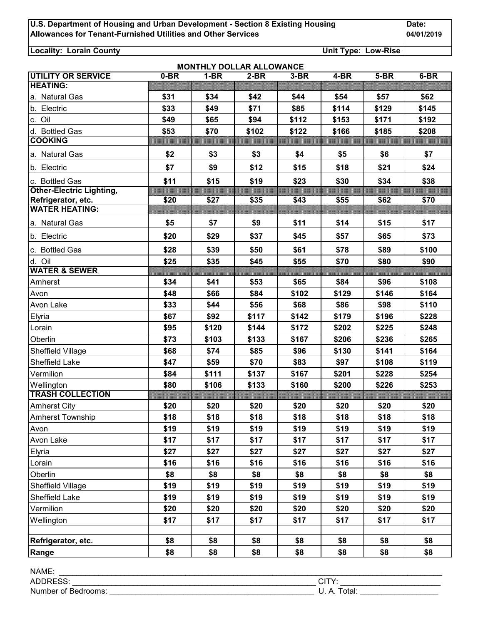**Locality: Lorain County Unit Type: Low-Rise**

|                                 |        | <b>MONTHLY DOLLAR ALLOWANCE</b> |        |        |        |        |        |
|---------------------------------|--------|---------------------------------|--------|--------|--------|--------|--------|
| <b>UTILITY OR SERVICE</b>       | $0-BR$ | $1-BR$                          | $2-BR$ | $3-BR$ | $4-BR$ | $5-BR$ | $6-BR$ |
| <b>HEATING:</b>                 |        |                                 |        |        |        |        |        |
| a. Natural Gas                  | \$31   | \$34                            | \$42   | \$44   | \$54   | \$57   | \$62   |
| b. Electric                     | \$33   | \$49                            | \$71   | \$85   | \$114  | \$129  | \$145  |
| c. Oil                          | \$49   | \$65                            | \$94   | \$112  | \$153  | \$171  | \$192  |
| d. Bottled Gas                  | \$53   | \$70                            | \$102  | \$122  | \$166  | \$185  | \$208  |
| <b>COOKING</b>                  |        |                                 |        |        |        |        |        |
| a. Natural Gas                  | \$2    | \$3                             | \$3    | \$4    | \$5    | \$6    | \$7    |
| b. Electric                     | \$7    | \$9                             | \$12   | \$15   | \$18   | \$21   | \$24   |
| c. Bottled Gas                  | \$11   | \$15                            | \$19   | \$23   | \$30   | \$34   | \$38   |
| <b>Other-Electric Lighting,</b> |        |                                 |        |        |        |        |        |
| Refrigerator, etc.              | \$20   | \$27                            | \$35   | \$43   | \$55   | \$62   | \$70   |
| <b>WATER HEATING:</b>           |        |                                 |        |        |        |        |        |
| a. Natural Gas                  | \$5    | \$7                             | \$9    | \$11   | \$14   | \$15   | \$17   |
| b. Electric                     | \$20   | \$29                            | \$37   | \$45   | \$57   | \$65   | \$73   |
| c. Bottled Gas                  | \$28   | \$39                            | \$50   | \$61   | \$78   | \$89   | \$100  |
| d. Oil                          | \$25   | \$35                            | \$45   | \$55   | \$70   | \$80   | \$90   |
| <b>WATER &amp; SEWER</b>        |        |                                 |        |        |        |        |        |
| Amherst                         | \$34   | \$41                            | \$53   | \$65   | \$84   | \$96   | \$108  |
| Avon                            | \$48   | \$66                            | \$84   | \$102  | \$129  | \$146  | \$164  |
| Avon Lake                       | \$33   | \$44                            | \$56   | \$68   | \$86   | \$98   | \$110  |
| Elyria                          | \$67   | \$92                            | \$117  | \$142  | \$179  | \$196  | \$228  |
| Lorain                          | \$95   | \$120                           | \$144  | \$172  | \$202  | \$225  | \$248  |
| Oberlin                         | \$73   | \$103                           | \$133  | \$167  | \$206  | \$236  | \$265  |
| Sheffield Village               | \$68   | \$74                            | \$85   | \$96   | \$130  | \$141  | \$164  |
| <b>Sheffield Lake</b>           | \$47   | \$59                            | \$70   | \$83   | \$97   | \$108  | \$119  |
| Vermilion                       | \$84   | \$111                           | \$137  | \$167  | \$201  | \$228  | \$254  |
| Wellington                      | \$80   | \$106                           | \$133  | \$160  | \$200  | \$226  | \$253  |
| <b>TRASH COLLECTION</b>         |        |                                 |        |        |        |        |        |
| <b>Amherst City</b>             | \$20   | \$20                            | \$20   | \$20   | \$20   | \$20   | \$20   |
| <b>Amherst Township</b>         | \$18   | \$18                            | \$18   | \$18   | \$18   | \$18   | \$18   |
| Avon                            | \$19   | \$19                            | \$19   | \$19   | \$19   | \$19   | \$19   |
| Avon Lake                       | \$17   | \$17                            | \$17   | \$17   | \$17   | \$17   | \$17   |
| Elyria                          | \$27   | \$27                            | \$27   | \$27   | \$27   | \$27   | \$27   |
| Lorain                          | \$16   | \$16                            | \$16   | \$16   | \$16   | \$16   | \$16   |
| Oberlin                         | \$8    | \$8                             | \$8    | \$8    | \$8    | \$8    | \$8    |
| Sheffield Village               | \$19   | \$19                            | \$19   | \$19   | \$19   | \$19   | \$19   |
| Sheffield Lake                  | \$19   | \$19                            | \$19   | \$19   | \$19   | \$19   | \$19   |
| Vermilion                       | \$20   | \$20                            | \$20   | \$20   | \$20   | \$20   | \$20   |
| Wellington                      | \$17   | \$17                            | \$17   | \$17   | \$17   | \$17   | \$17   |
|                                 |        |                                 |        |        |        |        |        |
| Refrigerator, etc.              | \$8    | \$8                             | \$8    | \$8    | \$8    | \$8    | \$8    |
| Range                           | \$8    | \$8                             | \$8    | \$8    | \$8    | \$8    | \$8    |

| <b>NAME</b>                      |                          |
|----------------------------------|--------------------------|
| ---<br>ADD <sub>I</sub><br>NLUU. | י⊤ור.<br>◡╷╷             |
| Number of Bedrooms:              | $\sim$<br>υιαι.<br>U. n. |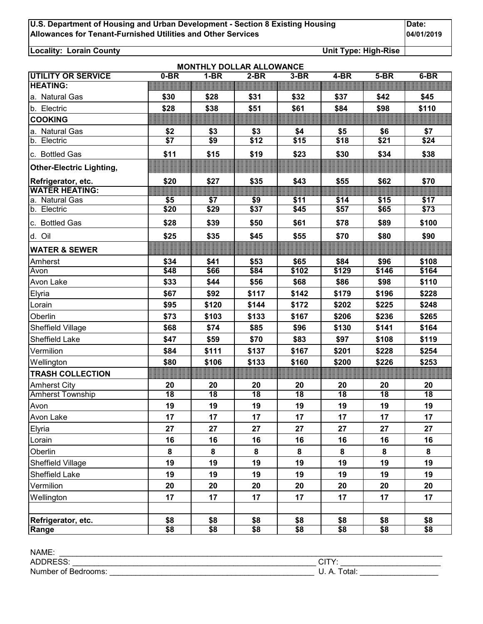**Locality: Lorain County Unit Type: High-Rise**

|                                 |                  |                 | <b>MONTHLY DOLLAR ALLOWANCE</b> |                 |                 |                 |                 |
|---------------------------------|------------------|-----------------|---------------------------------|-----------------|-----------------|-----------------|-----------------|
| <b>UTILITY OR SERVICE</b>       | $0-BR$           | $1-BR$          | $2-BR$                          | $3-BR$          | $4-BR$          | $5-BR$          | $6-BR$          |
| <b>HEATING:</b>                 |                  |                 |                                 |                 |                 |                 |                 |
| a. Natural Gas                  | \$30             | \$28            | \$31                            | \$32            | \$37            | \$42            | \$45            |
| b. Electric                     | \$28             | \$38            | \$51                            | \$61            | \$84            | \$98            | \$110           |
| <b>COOKING</b>                  |                  |                 |                                 |                 |                 |                 |                 |
| a. Natural Gas                  | \$2              | \$3             | \$3                             | \$4             | \$5             | \$6             | \$7             |
| b. Electric                     | $\overline{\$7}$ | \$9             | \$12                            | \$15            | \$18            | \$21            | \$24            |
| c. Bottled Gas                  | \$11             | \$15            | \$19                            | \$23            | \$30            | \$34            | \$38            |
| <b>Other-Electric Lighting,</b> |                  |                 |                                 |                 |                 |                 |                 |
| Refrigerator, etc.              | \$20             | \$27            | \$35                            | \$43            | \$55            | \$62            | \$70            |
| <b>WATER HEATING:</b>           |                  |                 |                                 |                 |                 |                 |                 |
| a. Natural Gas                  | \$5              | \$7             | \$9                             | \$11            | \$14            | \$15            | \$17            |
| b. Electric                     | \$20             | \$29            | \$37                            | \$45            | \$57            | \$65            | \$73            |
| c. Bottled Gas                  | \$28             | \$39            | \$50                            | \$61            | \$78            | \$89            | \$100           |
| d. Oil                          | \$25             | \$35            | \$45                            | \$55            | \$70            | \$80            | \$90            |
| <b>WATER &amp; SEWER</b>        |                  |                 |                                 |                 |                 |                 |                 |
| Amherst                         | \$34             | \$41            | \$53                            | \$65            | \$84            | \$96            | \$108           |
| Avon                            | \$48             | \$66            | \$84                            | \$102           | \$129           | \$146           | \$164           |
| Avon Lake                       | \$33             | \$44            | \$56                            | \$68            | \$86            | \$98            | \$110           |
| Elyria                          | \$67             | \$92            | \$117                           | \$142           | \$179           | \$196           | \$228           |
| Lorain                          | \$95             | \$120           | \$144                           | \$172           | \$202           | \$225           | \$248           |
| Oberlin                         | \$73             | \$103           | \$133                           | \$167           | \$206           | \$236           | \$265           |
| Sheffield Village               | \$68             | \$74            | \$85                            | \$96            | \$130           | \$141           | \$164           |
| Sheffield Lake                  | \$47             | \$59            | \$70                            | \$83            | \$97            | \$108           | \$119           |
| Vermilion                       | \$84             | \$111           | \$137                           | \$167           | \$201           | \$228           | \$254           |
| Wellington                      | \$80             | \$106           | \$133                           | \$160           | \$200           | \$226           | \$253           |
| <b>TRASH COLLECTION</b>         |                  |                 |                                 |                 |                 |                 |                 |
| <b>Amherst City</b>             | 20               | 20              | 20                              | 20              | 20              | 20              | 20              |
| <b>Amherst Township</b>         | $\overline{18}$  | $\overline{18}$ | $\overline{18}$                 | $\overline{18}$ | $\overline{18}$ | $\overline{18}$ | $\overline{18}$ |
| Avon                            | 19               | 19              | 19                              | 19              | 19              | 19              | 19              |
| Avon Lake                       | 17               | 17              | 17                              | 17              | 17              | 17              | 17              |
| Elyria                          | 27               | 27              | 27                              | 27              | 27              | 27              | 27              |
| Lorain                          | 16               | 16              | 16                              | 16              | 16              | 16              | 16              |
| Oberlin                         | 8                | 8               | 8                               | 8               | 8               | 8               | 8               |
| Sheffield Village               | 19               | 19              | 19                              | 19              | 19              | 19              | 19              |
| <b>Sheffield Lake</b>           | 19               | 19              | 19                              | 19              | 19              | 19              | 19              |
| Vermilion                       | 20               | 20              | 20                              | 20              | 20              | 20              | 20              |
| Wellington                      | 17               | 17              | 17                              | 17              | 17              | 17              | 17              |
|                                 |                  |                 |                                 |                 |                 |                 |                 |
| Refrigerator, etc.              | \$8              | \$8             | \$8                             | \$8             | \$8             | \$8             | \$8             |
| Range                           | \$8              | \$8             | \$8                             | \$8             | \$8             | \$8             | \$8             |

| NAME:                       |                              |
|-----------------------------|------------------------------|
| <b>NDECC</b><br>ADL<br>៶∟ບບ | - ---<br>ات                  |
| Number of Bedrooms:         | $\sim$ $+$<br>Uldi.<br>v. n. |